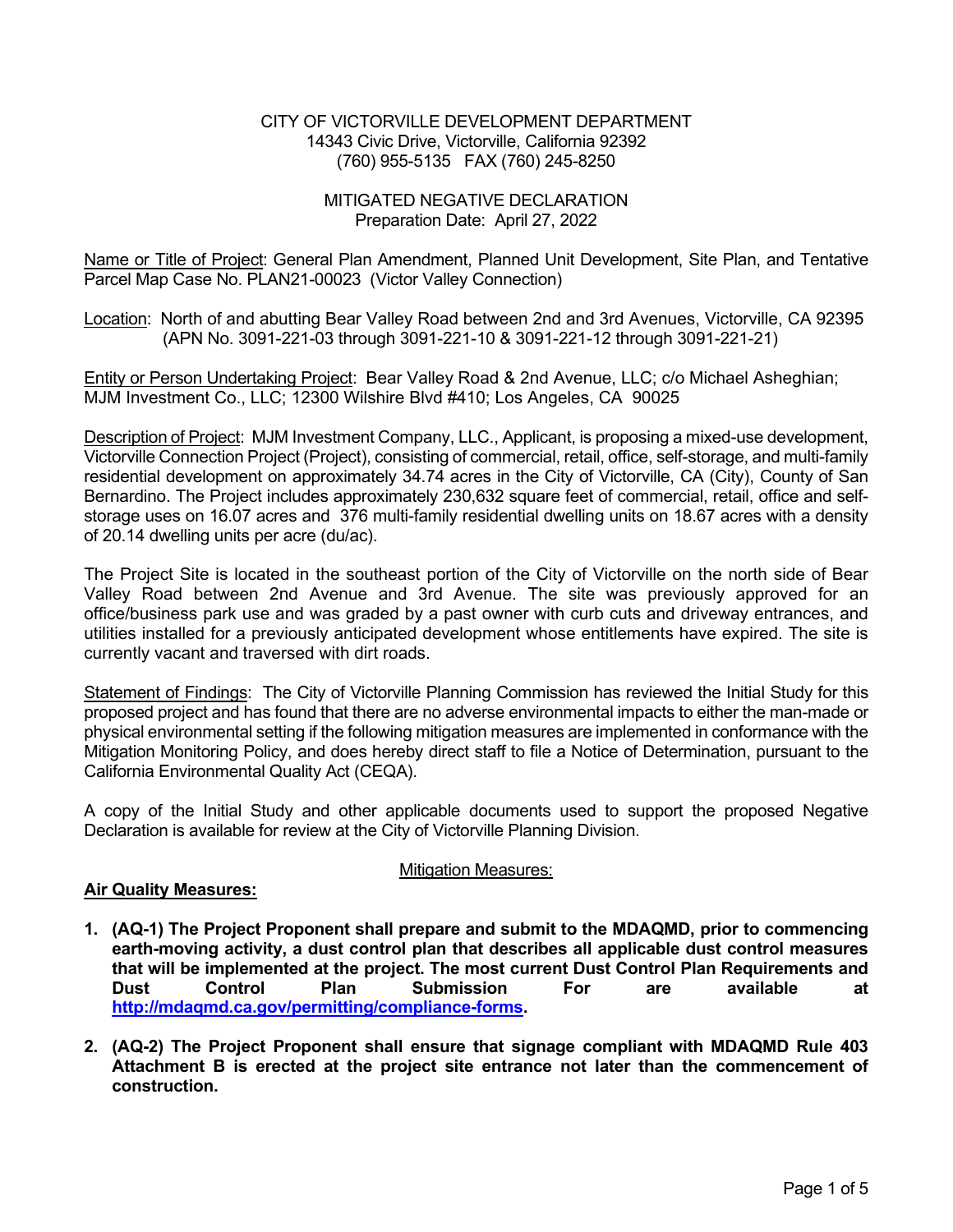#### CITY OF VICTORVILLE DEVELOPMENT DEPARTMENT 14343 Civic Drive, Victorville, California 92392 (760) 955-5135 FAX (760) 245-8250

#### MITIGATED NEGATIVE DECLARATION Preparation Date: April 27, 2022

Name or Title of Project: General Plan Amendment, Planned Unit Development, Site Plan, and Tentative Parcel Map Case No. PLAN21-00023 (Victor Valley Connection)

Location: North of and abutting Bear Valley Road between 2nd and 3rd Avenues, Victorville, CA 92395 (APN No. 3091-221-03 through 3091-221-10 & 3091-221-12 through 3091-221-21)

Entity or Person Undertaking Project: Bear Valley Road & 2nd Avenue, LLC; c/o Michael Asheghian; MJM Investment Co., LLC; 12300 Wilshire Blvd #410; Los Angeles, CA 90025

Description of Project: MJM Investment Company, LLC., Applicant, is proposing a mixed-use development, Victorville Connection Project (Project), consisting of commercial, retail, office, self-storage, and multi-family residential development on approximately 34.74 acres in the City of Victorville, CA (City), County of San Bernardino. The Project includes approximately 230,632 square feet of commercial, retail, office and selfstorage uses on 16.07 acres and 376 multi-family residential dwelling units on 18.67 acres with a density of 20.14 dwelling units per acre (du/ac).

The Project Site is located in the southeast portion of the City of Victorville on the north side of Bear Valley Road between 2nd Avenue and 3rd Avenue. The site was previously approved for an office/business park use and was graded by a past owner with curb cuts and driveway entrances, and utilities installed for a previously anticipated development whose entitlements have expired. The site is currently vacant and traversed with dirt roads.

Statement of Findings: The City of Victorville Planning Commission has reviewed the Initial Study for this proposed project and has found that there are no adverse environmental impacts to either the man-made or physical environmental setting if the following mitigation measures are implemented in conformance with the Mitigation Monitoring Policy, and does hereby direct staff to file a Notice of Determination, pursuant to the California Environmental Quality Act (CEQA).

A copy of the Initial Study and other applicable documents used to support the proposed Negative Declaration is available for review at the City of Victorville Planning Division.

# Mitigation Measures:

# **Air Quality Measures:**

- **1. (AQ-1) The Project Proponent shall prepare and submit to the MDAQMD, prior to commencing earth-moving activity, a dust control plan that describes all applicable dust control measures that will be implemented at the project. The most current Dust Control Plan Requirements and Dust Control Plan Submission For are available at http://mdaqmd.ca.gov/permitting/compliance-forms.**
- **2. (AQ-2) The Project Proponent shall ensure that signage compliant with MDAQMD Rule 403 Attachment B is erected at the project site entrance not later than the commencement of construction.**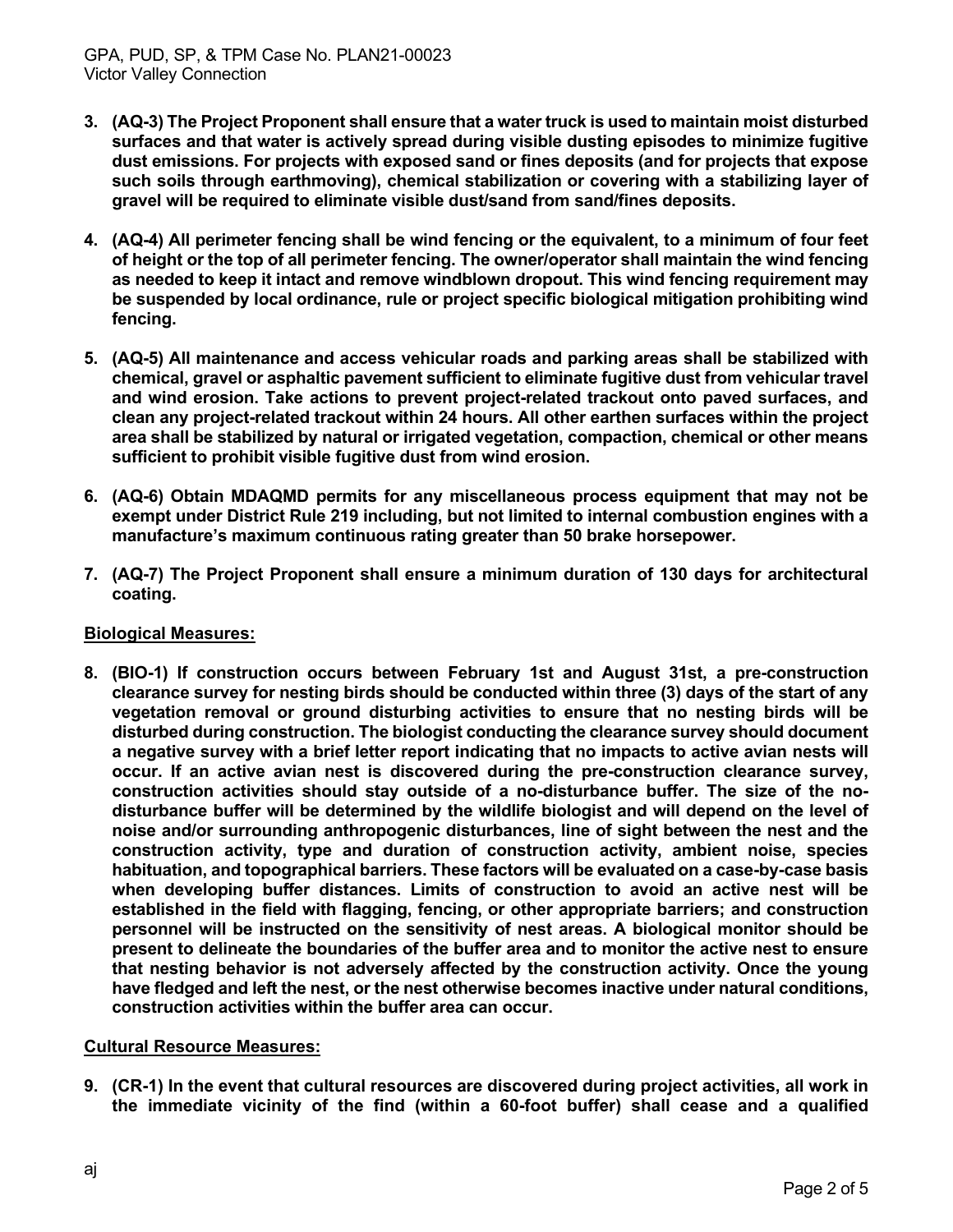- **3. (AQ-3) The Project Proponent shall ensure that a water truck is used to maintain moist disturbed surfaces and that water is actively spread during visible dusting episodes to minimize fugitive dust emissions. For projects with exposed sand or fines deposits (and for projects that expose such soils through earthmoving), chemical stabilization or covering with a stabilizing layer of gravel will be required to eliminate visible dust/sand from sand/fines deposits.**
- **4. (AQ-4) All perimeter fencing shall be wind fencing or the equivalent, to a minimum of four feet of height or the top of all perimeter fencing. The owner/operator shall maintain the wind fencing as needed to keep it intact and remove windblown dropout. This wind fencing requirement may be suspended by local ordinance, rule or project specific biological mitigation prohibiting wind fencing.**
- **5. (AQ-5) All maintenance and access vehicular roads and parking areas shall be stabilized with chemical, gravel or asphaltic pavement sufficient to eliminate fugitive dust from vehicular travel and wind erosion. Take actions to prevent project-related trackout onto paved surfaces, and clean any project-related trackout within 24 hours. All other earthen surfaces within the project area shall be stabilized by natural or irrigated vegetation, compaction, chemical or other means sufficient to prohibit visible fugitive dust from wind erosion.**
- **6. (AQ-6) Obtain MDAQMD permits for any miscellaneous process equipment that may not be exempt under District Rule 219 including, but not limited to internal combustion engines with a manufacture's maximum continuous rating greater than 50 brake horsepower.**
- **7. (AQ-7) The Project Proponent shall ensure a minimum duration of 130 days for architectural coating.**

# **Biological Measures:**

**8. (BIO-1) If construction occurs between February 1st and August 31st, a pre-construction clearance survey for nesting birds should be conducted within three (3) days of the start of any vegetation removal or ground disturbing activities to ensure that no nesting birds will be disturbed during construction. The biologist conducting the clearance survey should document a negative survey with a brief letter report indicating that no impacts to active avian nests will occur. If an active avian nest is discovered during the pre-construction clearance survey, construction activities should stay outside of a no-disturbance buffer. The size of the nodisturbance buffer will be determined by the wildlife biologist and will depend on the level of noise and/or surrounding anthropogenic disturbances, line of sight between the nest and the construction activity, type and duration of construction activity, ambient noise, species habituation, and topographical barriers. These factors will be evaluated on a case-by-case basis when developing buffer distances. Limits of construction to avoid an active nest will be established in the field with flagging, fencing, or other appropriate barriers; and construction personnel will be instructed on the sensitivity of nest areas. A biological monitor should be present to delineate the boundaries of the buffer area and to monitor the active nest to ensure that nesting behavior is not adversely affected by the construction activity. Once the young have fledged and left the nest, or the nest otherwise becomes inactive under natural conditions, construction activities within the buffer area can occur.**

# **Cultural Resource Measures:**

**9. (CR-1) In the event that cultural resources are discovered during project activities, all work in the immediate vicinity of the find (within a 60-foot buffer) shall cease and a qualified**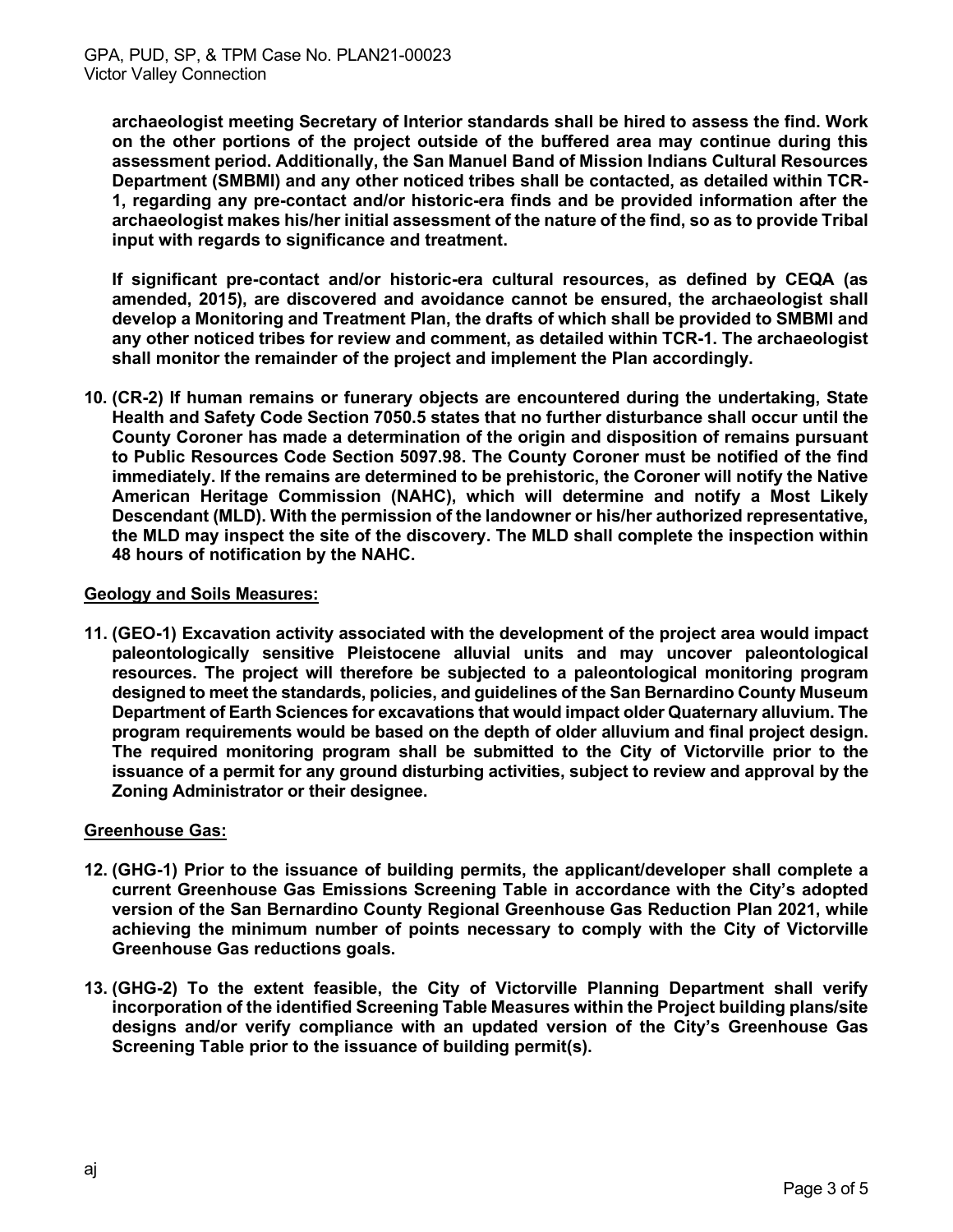**archaeologist meeting Secretary of Interior standards shall be hired to assess the find. Work on the other portions of the project outside of the buffered area may continue during this assessment period. Additionally, the San Manuel Band of Mission Indians Cultural Resources Department (SMBMI) and any other noticed tribes shall be contacted, as detailed within TCR-1, regarding any pre-contact and/or historic-era finds and be provided information after the archaeologist makes his/her initial assessment of the nature of the find, so as to provide Tribal input with regards to significance and treatment.** 

**If significant pre-contact and/or historic-era cultural resources, as defined by CEQA (as amended, 2015), are discovered and avoidance cannot be ensured, the archaeologist shall develop a Monitoring and Treatment Plan, the drafts of which shall be provided to SMBMI and any other noticed tribes for review and comment, as detailed within TCR-1. The archaeologist shall monitor the remainder of the project and implement the Plan accordingly.** 

**10. (CR-2) If human remains or funerary objects are encountered during the undertaking, State Health and Safety Code Section 7050.5 states that no further disturbance shall occur until the County Coroner has made a determination of the origin and disposition of remains pursuant to Public Resources Code Section 5097.98. The County Coroner must be notified of the find immediately. If the remains are determined to be prehistoric, the Coroner will notify the Native American Heritage Commission (NAHC), which will determine and notify a Most Likely Descendant (MLD). With the permission of the landowner or his/her authorized representative, the MLD may inspect the site of the discovery. The MLD shall complete the inspection within 48 hours of notification by the NAHC.** 

# **Geology and Soils Measures:**

**11. (GEO-1) Excavation activity associated with the development of the project area would impact paleontologically sensitive Pleistocene alluvial units and may uncover paleontological resources. The project will therefore be subjected to a paleontological monitoring program designed to meet the standards, policies, and guidelines of the San Bernardino County Museum Department of Earth Sciences for excavations that would impact older Quaternary alluvium. The program requirements would be based on the depth of older alluvium and final project design. The required monitoring program shall be submitted to the City of Victorville prior to the issuance of a permit for any ground disturbing activities, subject to review and approval by the Zoning Administrator or their designee.** 

# **Greenhouse Gas:**

- **12. (GHG-1) Prior to the issuance of building permits, the applicant/developer shall complete a current Greenhouse Gas Emissions Screening Table in accordance with the City's adopted version of the San Bernardino County Regional Greenhouse Gas Reduction Plan 2021, while achieving the minimum number of points necessary to comply with the City of Victorville Greenhouse Gas reductions goals.**
- **13. (GHG-2) To the extent feasible, the City of Victorville Planning Department shall verify incorporation of the identified Screening Table Measures within the Project building plans/site designs and/or verify compliance with an updated version of the City's Greenhouse Gas Screening Table prior to the issuance of building permit(s).**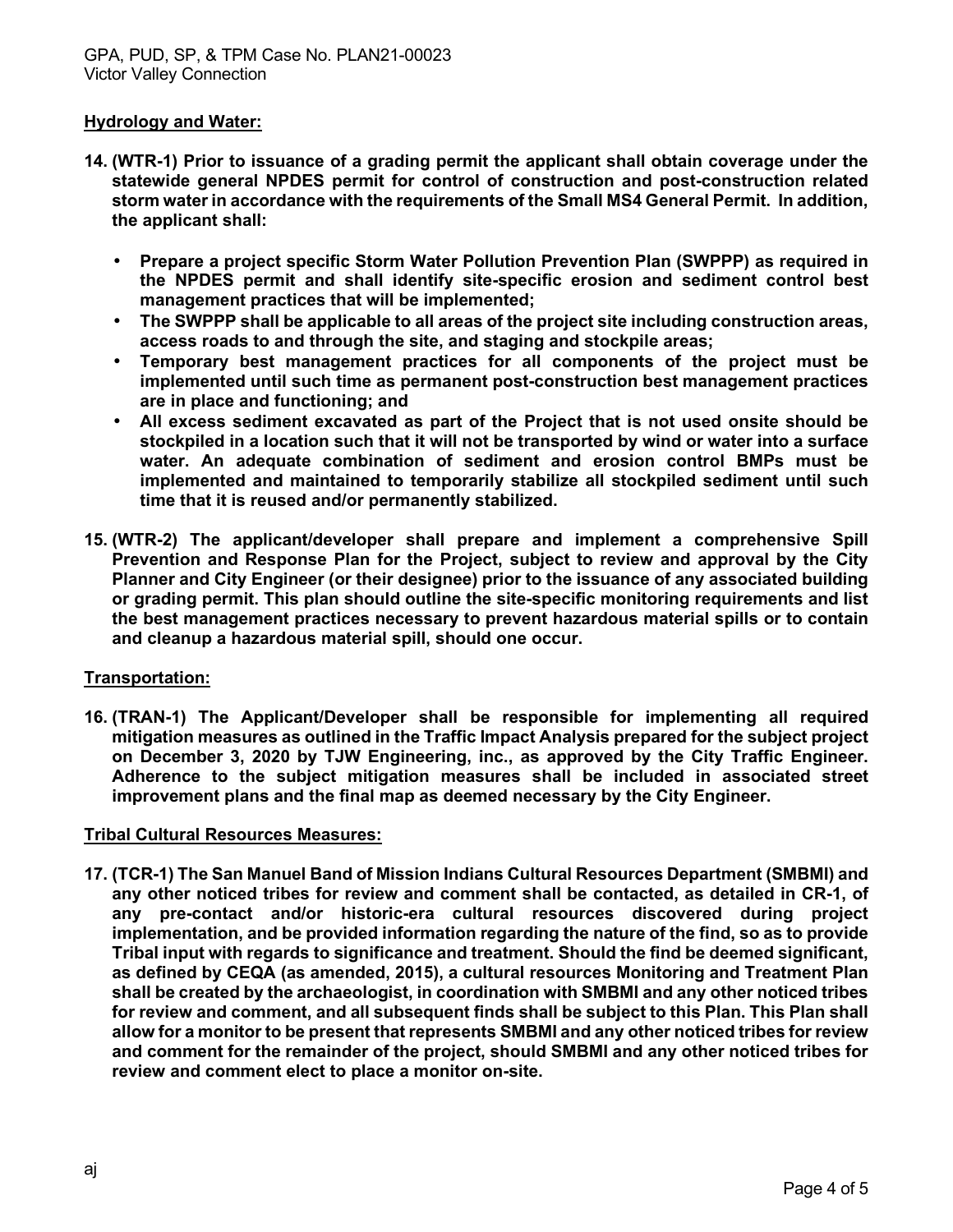# **Hydrology and Water:**

- **14. (WTR-1) Prior to issuance of a grading permit the applicant shall obtain coverage under the statewide general NPDES permit for control of construction and post-construction related storm water in accordance with the requirements of the Small MS4 General Permit. In addition, the applicant shall:** 
	- **Prepare a project specific Storm Water Pollution Prevention Plan (SWPPP) as required in the NPDES permit and shall identify site-specific erosion and sediment control best management practices that will be implemented;**
	- **The SWPPP shall be applicable to all areas of the project site including construction areas, access roads to and through the site, and staging and stockpile areas;**
	- **Temporary best management practices for all components of the project must be implemented until such time as permanent post-construction best management practices are in place and functioning; and**
	- **All excess sediment excavated as part of the Project that is not used onsite should be stockpiled in a location such that it will not be transported by wind or water into a surface water. An adequate combination of sediment and erosion control BMPs must be implemented and maintained to temporarily stabilize all stockpiled sediment until such time that it is reused and/or permanently stabilized.**
- **15. (WTR-2) The applicant/developer shall prepare and implement a comprehensive Spill Prevention and Response Plan for the Project, subject to review and approval by the City Planner and City Engineer (or their designee) prior to the issuance of any associated building or grading permit. This plan should outline the site-specific monitoring requirements and list the best management practices necessary to prevent hazardous material spills or to contain and cleanup a hazardous material spill, should one occur.**

# **Transportation:**

**16. (TRAN-1) The Applicant/Developer shall be responsible for implementing all required mitigation measures as outlined in the Traffic Impact Analysis prepared for the subject project on December 3, 2020 by TJW Engineering, inc., as approved by the City Traffic Engineer. Adherence to the subject mitigation measures shall be included in associated street improvement plans and the final map as deemed necessary by the City Engineer.** 

# **Tribal Cultural Resources Measures:**

**17. (TCR-1) The San Manuel Band of Mission Indians Cultural Resources Department (SMBMI) and any other noticed tribes for review and comment shall be contacted, as detailed in CR-1, of any pre-contact and/or historic-era cultural resources discovered during project implementation, and be provided information regarding the nature of the find, so as to provide Tribal input with regards to significance and treatment. Should the find be deemed significant, as defined by CEQA (as amended, 2015), a cultural resources Monitoring and Treatment Plan shall be created by the archaeologist, in coordination with SMBMI and any other noticed tribes for review and comment, and all subsequent finds shall be subject to this Plan. This Plan shall allow for a monitor to be present that represents SMBMI and any other noticed tribes for review and comment for the remainder of the project, should SMBMI and any other noticed tribes for review and comment elect to place a monitor on-site.**